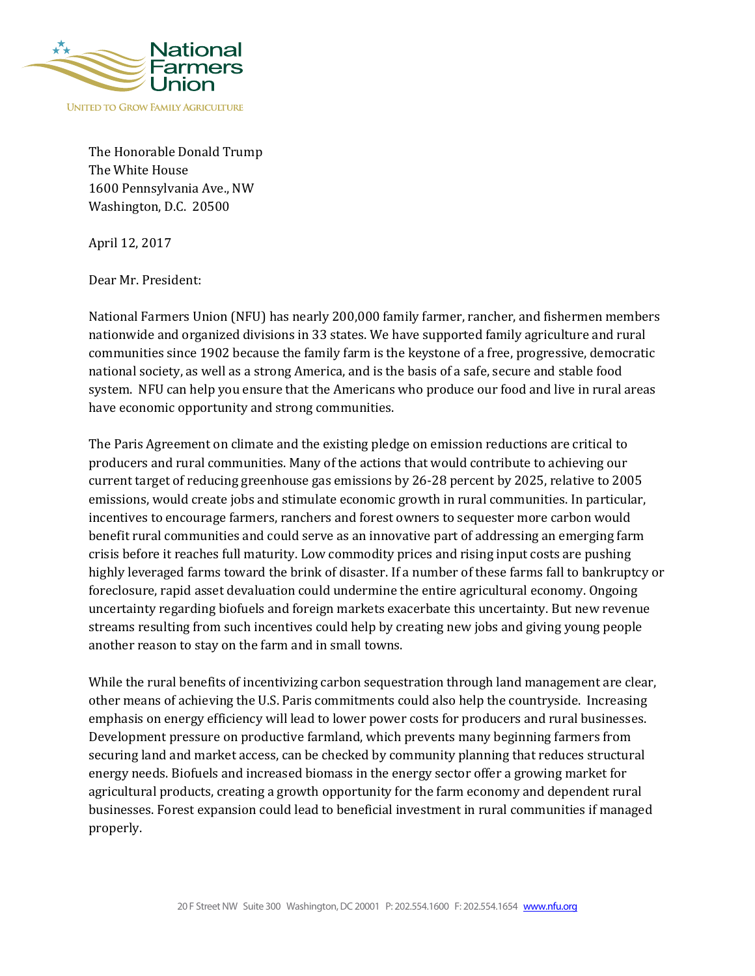

The Honorable Donald Trump The White House 1600 Pennsylvania Ave., NW Washington, D.C. 20500

April 12, 2017

Dear Mr. President:

National Farmers Union (NFU) has nearly 200,000 family farmer, rancher, and fishermen members nationwide and organized divisions in 33 states. We have supported family agriculture and rural communities since 1902 because the family farm is the keystone of a free, progressive, democratic national society, as well as a strong America, and is the basis of a safe, secure and stable food system. NFU can help you ensure that the Americans who produce our food and live in rural areas have economic opportunity and strong communities.

The Paris Agreement on climate and the existing pledge on emission reductions are critical to producers and rural communities. Many of the actions that would contribute to achieving our current target of reducing greenhouse gas emissions by 26-28 percent by 2025, relative to 2005 emissions, would create jobs and stimulate economic growth in rural communities. In particular, incentives to encourage farmers, ranchers and forest owners to sequester more carbon would benefit rural communities and could serve as an innovative part of addressing an emerging farm crisis before it reaches full maturity. Low commodity prices and rising input costs are pushing highly leveraged farms toward the brink of disaster. If a number of these farms fall to bankruptcy or foreclosure, rapid asset devaluation could undermine the entire agricultural economy. Ongoing uncertainty regarding biofuels and foreign markets exacerbate this uncertainty. But new revenue streams resulting from such incentives could help by creating new jobs and giving young people another reason to stay on the farm and in small towns.

While the rural benefits of incentivizing carbon sequestration through land management are clear, other means of achieving the U.S. Paris commitments could also help the countryside. Increasing emphasis on energy efficiency will lead to lower power costs for producers and rural businesses. Development pressure on productive farmland, which prevents many beginning farmers from securing land and market access, can be checked by community planning that reduces structural energy needs. Biofuels and increased biomass in the energy sector offer a growing market for agricultural products, creating a growth opportunity for the farm economy and dependent rural businesses. Forest expansion could lead to beneficial investment in rural communities if managed properly.